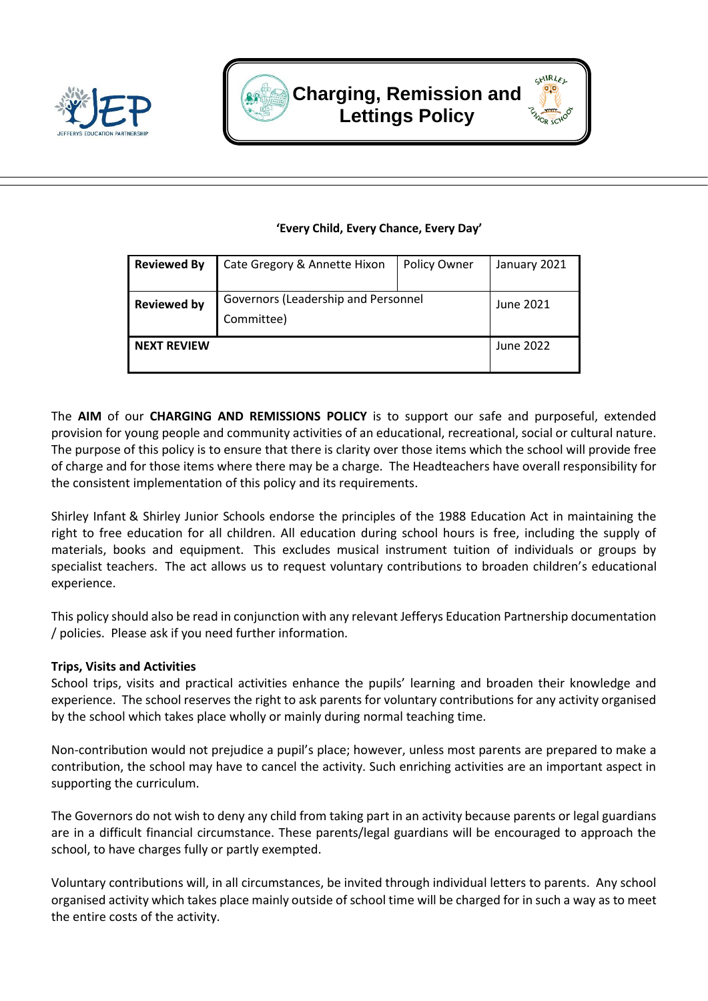





#### **'Every Child, Every Chance, Every Day'**

| <b>Reviewed By</b> | Cate Gregory & Annette Hixon                      | Policy Owner | January 2021 |
|--------------------|---------------------------------------------------|--------------|--------------|
| <b>Reviewed by</b> | Governors (Leadership and Personnel<br>Committee) |              | June 2021    |
| <b>NEXT REVIEW</b> |                                                   |              | June 2022    |

The **AIM** of our **CHARGING AND REMISSIONS POLICY** is to support our safe and purposeful, extended provision for young people and community activities of an educational, recreational, social or cultural nature. The purpose of this policy is to ensure that there is clarity over those items which the school will provide free of charge and for those items where there may be a charge. The Headteachers have overall responsibility for the consistent implementation of this policy and its requirements.

Shirley Infant & Shirley Junior Schools endorse the principles of the 1988 Education Act in maintaining the right to free education for all children. All education during school hours is free, including the supply of materials, books and equipment. This excludes musical instrument tuition of individuals or groups by specialist teachers. The act allows us to request voluntary contributions to broaden children's educational experience.

This policy should also be read in conjunction with any relevant Jefferys Education Partnership documentation / policies. Please ask if you need further information.

#### **Trips, Visits and Activities**

School trips, visits and practical activities enhance the pupils' learning and broaden their knowledge and experience. The school reserves the right to ask parents for voluntary contributions for any activity organised by the school which takes place wholly or mainly during normal teaching time.

Non-contribution would not prejudice a pupil's place; however, unless most parents are prepared to make a contribution, the school may have to cancel the activity. Such enriching activities are an important aspect in supporting the curriculum.

The Governors do not wish to deny any child from taking part in an activity because parents or legal guardians are in a difficult financial circumstance. These parents/legal guardians will be encouraged to approach the school, to have charges fully or partly exempted.

Voluntary contributions will, in all circumstances, be invited through individual letters to parents. Any school organised activity which takes place mainly outside of school time will be charged for in such a way as to meet the entire costs of the activity.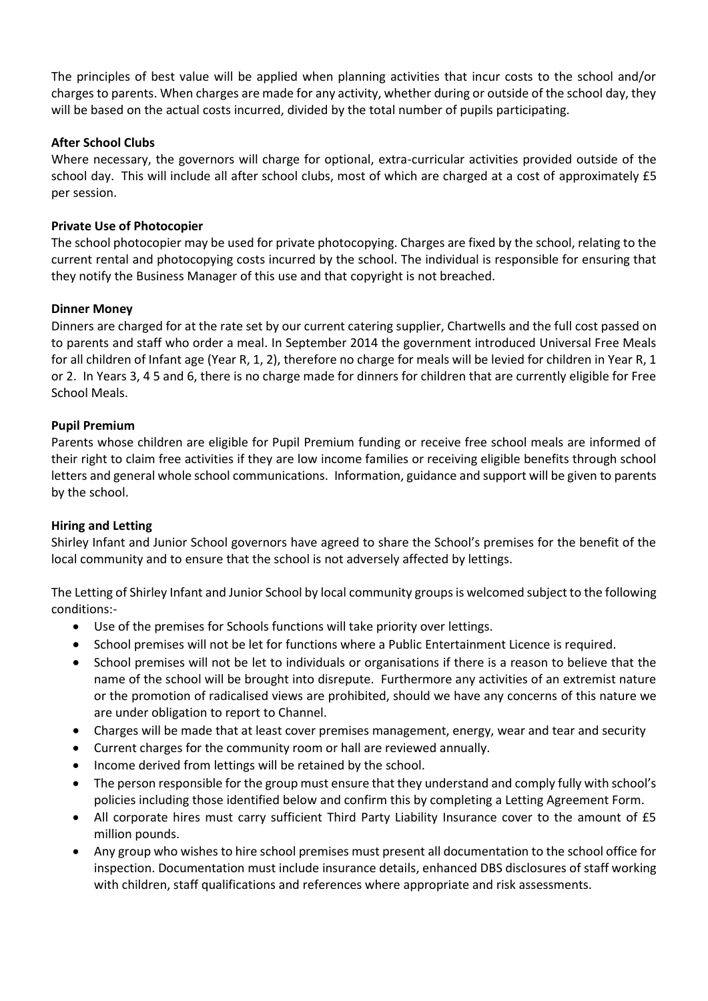The principles of best value will be applied when planning activities that incur costs to the school and/or charges to parents. When charges are made for any activity, whether during or outside of the school day, they will be based on the actual costs incurred, divided by the total number of pupils participating.

# **After School Clubs**

Where necessary, the governors will charge for optional, extra-curricular activities provided outside of the school day. This will include all after school clubs, most of which are charged at a cost of approximately £5 per session.

#### **Private Use of Photocopier**

The school photocopier may be used for private photocopying. Charges are fixed by the school, relating to the current rental and photocopying costs incurred by the school. The individual is responsible for ensuring that they notify the Business Manager of this use and that copyright is not breached.

# **Dinner Money**

Dinners are charged for at the rate set by our current catering supplier, Chartwells and the full cost passed on to parents and staff who order a meal. In September 2014 the government introduced Universal Free Meals for all children of Infant age (Year R, 1, 2), therefore no charge for meals will be levied for children in Year R, 1 or 2. In Years 3, 4 5 and 6, there is no charge made for dinners for children that are currently eligible for Free School Meals.

# **Pupil Premium**

Parents whose children are eligible for Pupil Premium funding or receive free school meals are informed of their right to claim free activities if they are low income families or receiving eligible benefits through school letters and general whole school communications. Information, guidance and support will be given to parents by the school.

#### **Hiring and Letting**

Shirley Infant and Junior School governors have agreed to share the School's premises for the benefit of the local community and to ensure that the school is not adversely affected by lettings.

The Letting of Shirley Infant and Junior School by local community groups is welcomed subject to the following conditions:-

- Use of the premises for Schools functions will take priority over lettings.
- School premises will not be let for functions where a Public Entertainment Licence is required.
- School premises will not be let to individuals or organisations if there is a reason to believe that the name of the school will be brought into disrepute. Furthermore any activities of an extremist nature or the promotion of radicalised views are prohibited, should we have any concerns of this nature we are under obligation to report to Channel.
- Charges will be made that at least cover premises management, energy, wear and tear and security
- Current charges for the community room or hall are reviewed annually.
- Income derived from lettings will be retained by the school.
- The person responsible for the group must ensure that they understand and comply fully with school's policies including those identified below and confirm this by completing a Letting Agreement Form.
- All corporate hires must carry sufficient Third Party Liability Insurance cover to the amount of £5 million pounds.
- Any group who wishes to hire school premises must present all documentation to the school office for inspection. Documentation must include insurance details, enhanced DBS disclosures of staff working with children, staff qualifications and references where appropriate and risk assessments.